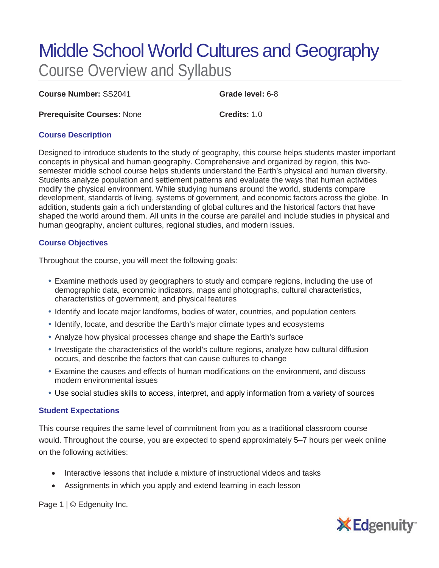# Middle School World Cultures and Geography Course Overview and Syllabus

**Course Number:** SS2041 **Grade level:** 6-8

**Prerequisite Courses:** None **Credits:** 1.0

# **Course Description**

Designed to introduce students to the study of geography, this course helps students master important concepts in physical and human geography. Comprehensive and organized by region, this twosemester middle school course helps students understand the Earth's physical and human diversity. Students analyze population and settlement patterns and evaluate the ways that human activities modify the physical environment. While studying humans around the world, students compare development, standards of living, systems of government, and economic factors across the globe. In addition, students gain a rich understanding of global cultures and the historical factors that have shaped the world around them. All units in the course are parallel and include studies in physical and human geography, ancient cultures, regional studies, and modern issues.

# **Course Objectives**

Throughout the course, you will meet the following goals:

- Examine methods used by geographers to study and compare regions, including the use of demographic data, economic indicators, maps and photographs, cultural characteristics, characteristics of government, and physical features
- Identify and locate major landforms, bodies of water, countries, and population centers
- Identify, locate, and describe the Earth's major climate types and ecosystems
- Analyze how physical processes change and shape the Earth's surface
- Investigate the characteristics of the world's culture regions, analyze how cultural diffusion occurs, and describe the factors that can cause cultures to change
- Examine the causes and effects of human modifications on the environment, and discuss modern environmental issues
- Use social studies skills to access, interpret, and apply information from a variety of sources

#### **Student Expectations**

This course requires the same level of commitment from you as a traditional classroom course would. Throughout the course, you are expected to spend approximately 5–7 hours per week online on the following activities:

- Interactive lessons that include a mixture of instructional videos and tasks
- Assignments in which you apply and extend learning in each lesson

Page 1 | © Edgenuity Inc.